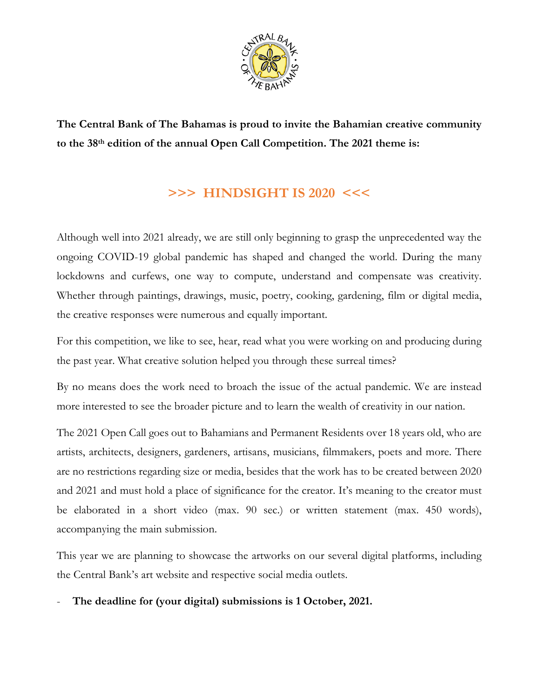

**The Central Bank of The Bahamas is proud to invite the Bahamian creative community to the 38th edition of the annual Open Call Competition. The 2021 theme is:**

## **>>> HINDSIGHT IS 2020 <<<**

Although well into 2021 already, we are still only beginning to grasp the unprecedented way the ongoing COVID-19 global pandemic has shaped and changed the world. During the many lockdowns and curfews, one way to compute, understand and compensate was creativity. Whether through paintings, drawings, music, poetry, cooking, gardening, film or digital media, the creative responses were numerous and equally important.

For this competition, we like to see, hear, read what you were working on and producing during the past year. What creative solution helped you through these surreal times?

By no means does the work need to broach the issue of the actual pandemic. We are instead more interested to see the broader picture and to learn the wealth of creativity in our nation.

The 2021 Open Call goes out to Bahamians and Permanent Residents over 18 years old, who are artists, architects, designers, gardeners, artisans, musicians, filmmakers, poets and more. There are no restrictions regarding size or media, besides that the work has to be created between 2020 and 2021 and must hold a place of significance for the creator. It's meaning to the creator must be elaborated in a short video (max. 90 sec.) or written statement (max. 450 words), accompanying the main submission.

This year we are planning to showcase the artworks on our several digital platforms, including the Central Bank's art website and respective social media outlets.

- **The deadline for (your digital) submissions is 1 October, 2021.**